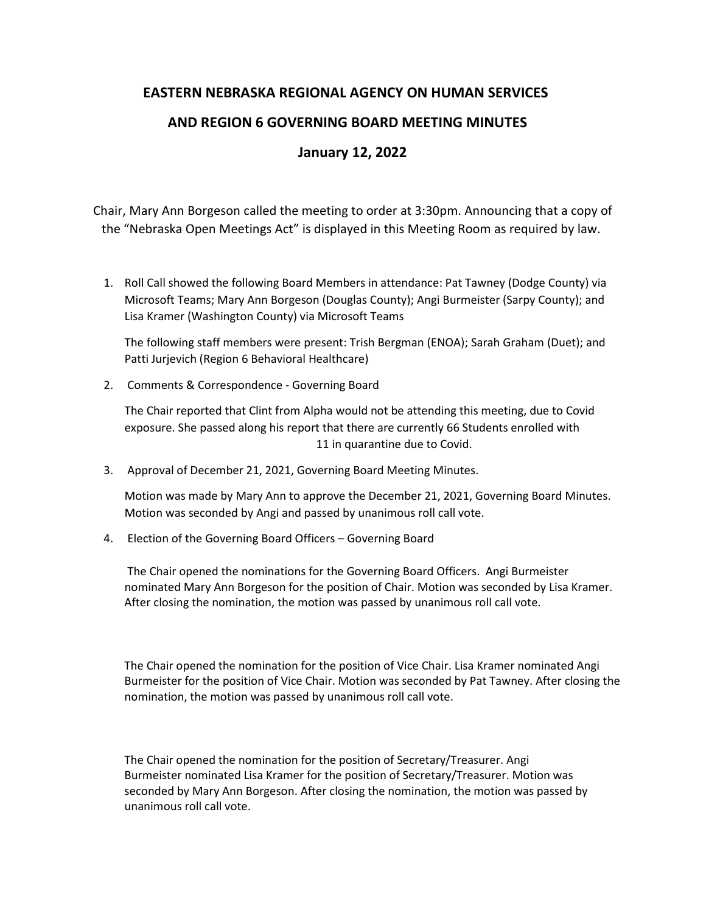## **EASTERN NEBRASKA REGIONAL AGENCY ON HUMAN SERVICES AND REGION 6 GOVERNING BOARD MEETING MINUTES January 12, 2022**

Chair, Mary Ann Borgeson called the meeting to order at 3:30pm. Announcing that a copy of the "Nebraska Open Meetings Act" is displayed in this Meeting Room as required by law.

1. Roll Call showed the following Board Members in attendance: Pat Tawney (Dodge County) via Microsoft Teams; Mary Ann Borgeson (Douglas County); Angi Burmeister (Sarpy County); and Lisa Kramer (Washington County) via Microsoft Teams

The following staff members were present: Trish Bergman (ENOA); Sarah Graham (Duet); and Patti Jurjevich (Region 6 Behavioral Healthcare)

2. Comments & Correspondence - Governing Board

The Chair reported that Clint from Alpha would not be attending this meeting, due to Covid exposure. She passed along his report that there are currently 66 Students enrolled with 11 in quarantine due to Covid.

3. Approval of December 21, 2021, Governing Board Meeting Minutes.

Motion was made by Mary Ann to approve the December 21, 2021, Governing Board Minutes. Motion was seconded by Angi and passed by unanimous roll call vote.

4. Election of the Governing Board Officers – Governing Board

The Chair opened the nominations for the Governing Board Officers. Angi Burmeister nominated Mary Ann Borgeson for the position of Chair. Motion was seconded by Lisa Kramer. After closing the nomination, the motion was passed by unanimous roll call vote.

The Chair opened the nomination for the position of Vice Chair. Lisa Kramer nominated Angi Burmeister for the position of Vice Chair. Motion was seconded by Pat Tawney. After closing the nomination, the motion was passed by unanimous roll call vote.

The Chair opened the nomination for the position of Secretary/Treasurer. Angi Burmeister nominated Lisa Kramer for the position of Secretary/Treasurer. Motion was seconded by Mary Ann Borgeson. After closing the nomination, the motion was passed by unanimous roll call vote.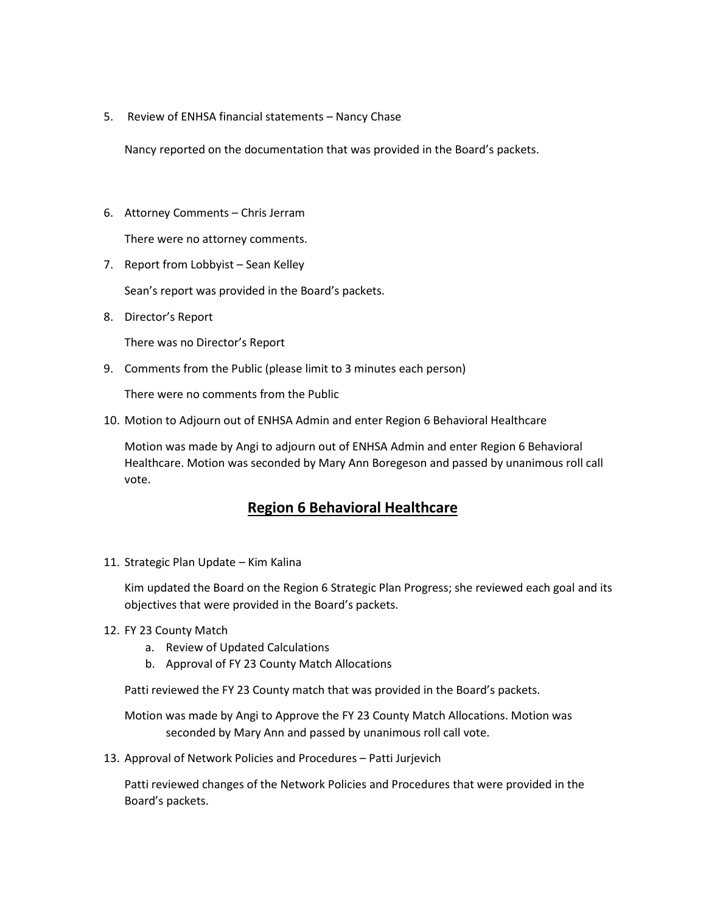5. Review of ENHSA financial statements – Nancy Chase

Nancy reported on the documentation that was provided in the Board's packets.

- 6. Attorney Comments Chris Jerram There were no attorney comments.
- 7. Report from Lobbyist Sean Kelley

Sean's report was provided in the Board's packets.

8. Director's Report

There was no Director's Report

9. Comments from the Public (please limit to 3 minutes each person)

There were no comments from the Public

10. Motion to Adjourn out of ENHSA Admin and enter Region 6 Behavioral Healthcare

Motion was made by Angi to adjourn out of ENHSA Admin and enter Region 6 Behavioral Healthcare. Motion was seconded by Mary Ann Boregeson and passed by unanimous roll call vote.

## **Region 6 Behavioral Healthcare**

11. Strategic Plan Update – Kim Kalina

Kim updated the Board on the Region 6 Strategic Plan Progress; she reviewed each goal and its objectives that were provided in the Board's packets.

- 12. FY 23 County Match
	- a. Review of Updated Calculations
	- b. Approval of FY 23 County Match Allocations

Patti reviewed the FY 23 County match that was provided in the Board's packets.

Motion was made by Angi to Approve the FY 23 County Match Allocations. Motion was seconded by Mary Ann and passed by unanimous roll call vote.

13. Approval of Network Policies and Procedures – Patti Jurjevich

Patti reviewed changes of the Network Policies and Procedures that were provided in the Board's packets.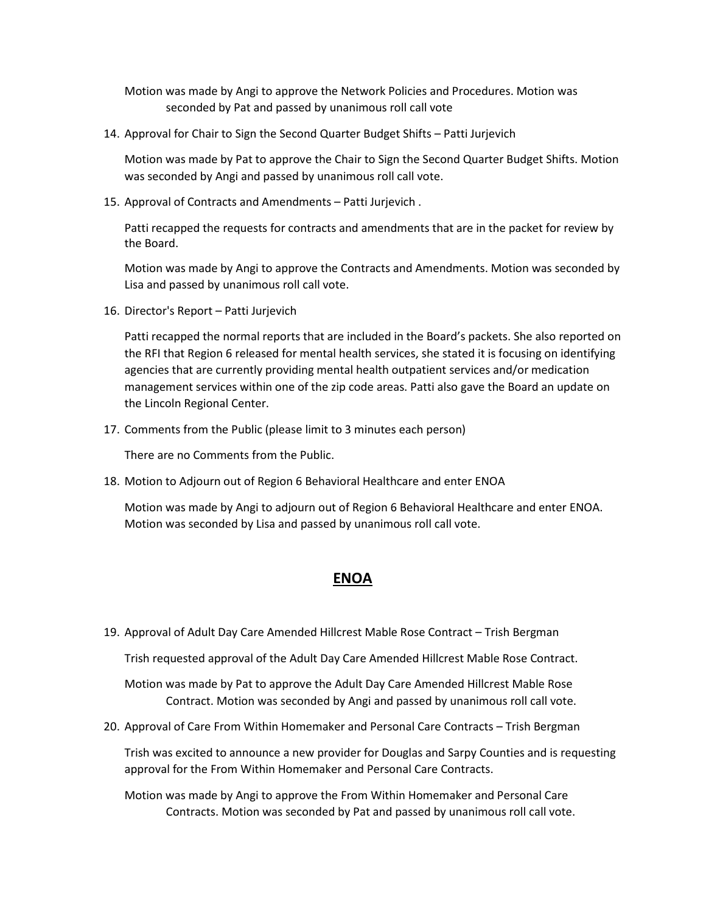Motion was made by Angi to approve the Network Policies and Procedures. Motion was seconded by Pat and passed by unanimous roll call vote

14. Approval for Chair to Sign the Second Quarter Budget Shifts – Patti Jurjevich

Motion was made by Pat to approve the Chair to Sign the Second Quarter Budget Shifts. Motion was seconded by Angi and passed by unanimous roll call vote.

15. Approval of Contracts and Amendments – Patti Jurjevich .

Patti recapped the requests for contracts and amendments that are in the packet for review by the Board.

Motion was made by Angi to approve the Contracts and Amendments. Motion was seconded by Lisa and passed by unanimous roll call vote.

16. Director's Report – Patti Jurjevich

Patti recapped the normal reports that are included in the Board's packets. She also reported on the RFI that Region 6 released for mental health services, she stated it is focusing on identifying agencies that are currently providing mental health outpatient services and/or medication management services within one of the zip code areas. Patti also gave the Board an update on the Lincoln Regional Center.

17. Comments from the Public (please limit to 3 minutes each person)

There are no Comments from the Public.

18. Motion to Adjourn out of Region 6 Behavioral Healthcare and enter ENOA

Motion was made by Angi to adjourn out of Region 6 Behavioral Healthcare and enter ENOA. Motion was seconded by Lisa and passed by unanimous roll call vote.

## **ENOA**

19. Approval of Adult Day Care Amended Hillcrest Mable Rose Contract – Trish Bergman

Trish requested approval of the Adult Day Care Amended Hillcrest Mable Rose Contract.

Motion was made by Pat to approve the Adult Day Care Amended Hillcrest Mable Rose Contract. Motion was seconded by Angi and passed by unanimous roll call vote.

20. Approval of Care From Within Homemaker and Personal Care Contracts – Trish Bergman

Trish was excited to announce a new provider for Douglas and Sarpy Counties and is requesting approval for the From Within Homemaker and Personal Care Contracts.

Motion was made by Angi to approve the From Within Homemaker and Personal Care Contracts. Motion was seconded by Pat and passed by unanimous roll call vote.